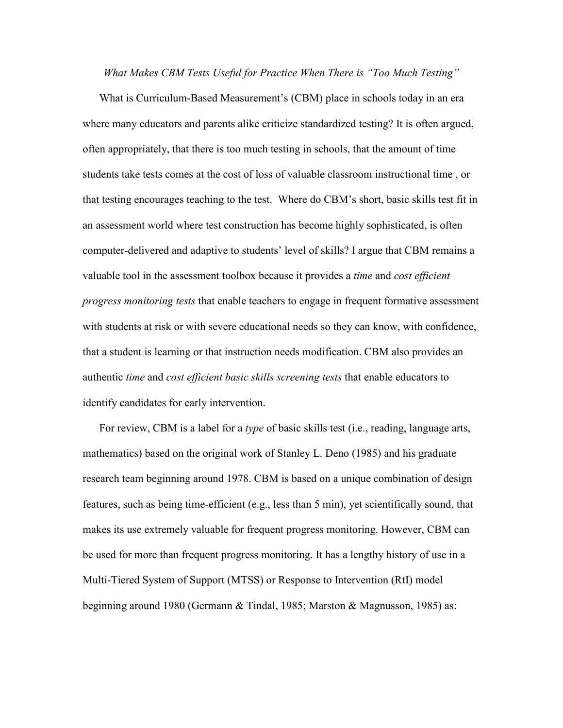*What Makes CBM Tests Useful for Practice When There is "Too Much Testing"*

What is Curriculum-Based Measurement's (CBM) place in schools today in an era where many educators and parents alike criticize standardized testing? It is often argued, often appropriately, that there is too much testing in schools, that the amount of time students take tests comes at the cost of loss of valuable classroom instructional time , or that testing encourages teaching to the test. Where do CBM's short, basic skills test fit in an assessment world where test construction has become highly sophisticated, is often computer-delivered and adaptive to students' level of skills? I argue that CBM remains a valuable tool in the assessment toolbox because it provides a *time* and *cost efficient progress monitoring tests* that enable teachers to engage in frequent formative assessment with students at risk or with severe educational needs so they can know, with confidence, that a student is learning or that instruction needs modification. CBM also provides an authentic *time* and *cost efficient basic skills screening tests* that enable educators to identify candidates for early intervention.

For review, CBM is a label for a *type* of basic skills test (i.e., reading, language arts, mathematics) based on the original work of Stanley L. Deno (1985) and his graduate research team beginning around 1978. CBM is based on a unique combination of design features, such as being time-efficient (e.g., less than 5 min), yet scientifically sound, that makes its use extremely valuable for frequent progress monitoring. However, CBM can be used for more than frequent progress monitoring. It has a lengthy history of use in a Multi-Tiered System of Support (MTSS) or Response to Intervention (RtI) model beginning around 1980 (Germann & Tindal, 1985; Marston & Magnusson, 1985) as: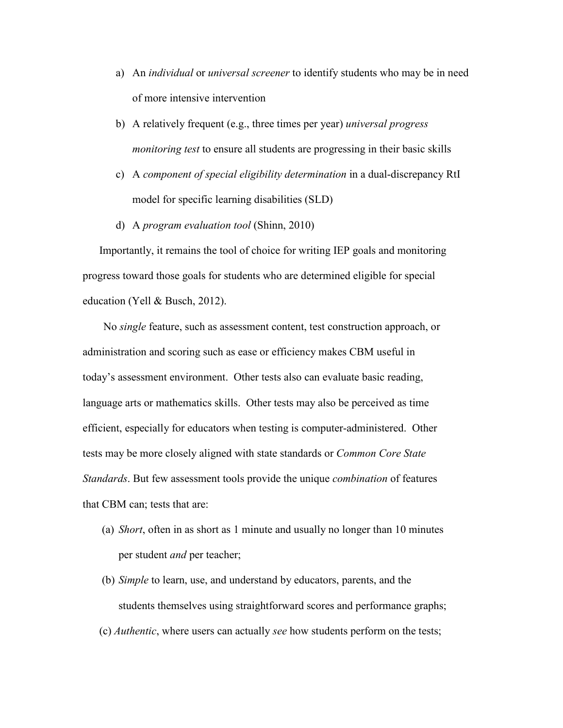- a) An *individual* or *universal screener* to identify students who may be in need of more intensive intervention
- b) A relatively frequent (e.g., three times per year) *universal progress monitoring test* to ensure all students are progressing in their basic skills
- c) A *component of special eligibility determination* in a dual-discrepancy RtI model for specific learning disabilities (SLD)
- d) A *program evaluation tool* (Shinn, 2010)

Importantly, it remains the tool of choice for writing IEP goals and monitoring progress toward those goals for students who are determined eligible for special education (Yell & Busch, 2012).

No *single* feature, such as assessment content, test construction approach, or administration and scoring such as ease or efficiency makes CBM useful in today's assessment environment. Other tests also can evaluate basic reading, language arts or mathematics skills. Other tests may also be perceived as time efficient, especially for educators when testing is computer-administered. Other tests may be more closely aligned with state standards or *Common Core State Standards*. But few assessment tools provide the unique *combination* of features that CBM can; tests that are:

- (a) *Short*, often in as short as 1 minute and usually no longer than 10 minutes per student *and* per teacher;
- (b) *Simple* to learn, use, and understand by educators, parents, and the students themselves using straightforward scores and performance graphs;
- (c) *Authentic*, where users can actually *see* how students perform on the tests;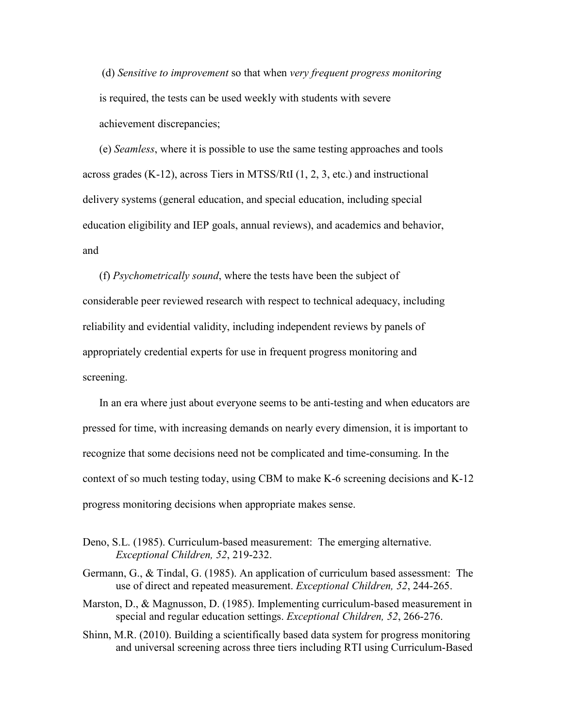(d) *Sensitive to improvement* so that when *very frequent progress monitoring* is required, the tests can be used weekly with students with severe achievement discrepancies;

(e) *Seamless*, where it is possible to use the same testing approaches and tools across grades (K-12), across Tiers in MTSS/RtI (1, 2, 3, etc.) and instructional delivery systems (general education, and special education, including special education eligibility and IEP goals, annual reviews), and academics and behavior, and

(f) *Psychometrically sound*, where the tests have been the subject of considerable peer reviewed research with respect to technical adequacy, including reliability and evidential validity, including independent reviews by panels of appropriately credential experts for use in frequent progress monitoring and screening.

In an era where just about everyone seems to be anti-testing and when educators are pressed for time, with increasing demands on nearly every dimension, it is important to recognize that some decisions need not be complicated and time-consuming. In the context of so much testing today, using CBM to make K-6 screening decisions and K-12 progress monitoring decisions when appropriate makes sense.

- Deno, S.L. (1985). Curriculum-based measurement: The emerging alternative. *Exceptional Children, 52*, 219-232.
- Germann, G., & Tindal, G. (1985). An application of curriculum based assessment: The use of direct and repeated measurement. *Exceptional Children, 52*, 244-265.
- Marston, D., & Magnusson, D. (1985). Implementing curriculum-based measurement in special and regular education settings. *Exceptional Children, 52*, 266-276.
- Shinn, M.R. (2010). Building a scientifically based data system for progress monitoring and universal screening across three tiers including RTI using Curriculum-Based